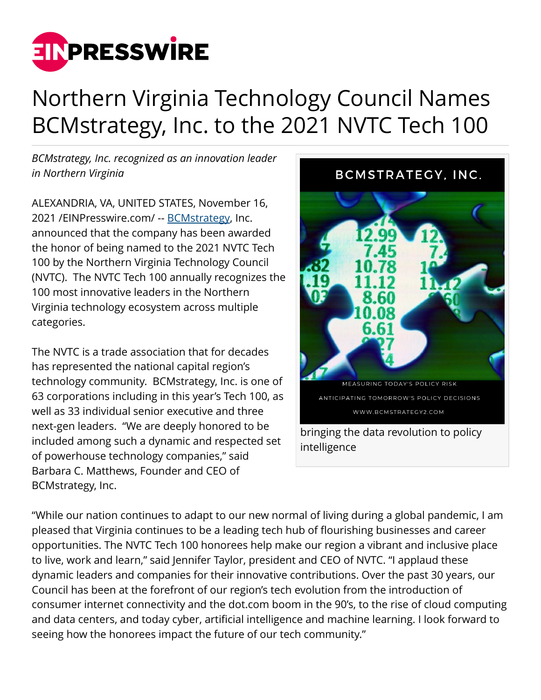

## Northern Virginia Technology Council Names BCMstrategy, Inc. to the 2021 NVTC Tech 100

*BCMstrategy, Inc. recognized as an innovation leader in Northern Virginia*

ALEXANDRIA, VA, UNITED STATES, November 16, 2021 /[EINPresswire.com](http://www.einpresswire.com)/ -- [BCMstrategy](https://www.bcmstrategy2.com/disruption-and-data), Inc. announced that the company has been awarded the honor of being named to the 2021 NVTC Tech 100 by the Northern Virginia Technology Council (NVTC). The NVTC Tech 100 annually recognizes the 100 most innovative leaders in the Northern Virginia technology ecosystem across multiple categories.

The NVTC is a trade association that for decades has represented the national capital region's technology community. BCMstrategy, Inc. is one of 63 corporations including in this year's Tech 100, as well as 33 individual senior executive and three next-gen leaders. "We are deeply honored to be included among such a dynamic and respected set of powerhouse technology companies," said Barbara C. Matthews, Founder and CEO of BCMstrategy, Inc.



"While our nation continues to adapt to our new normal of living during a global pandemic, I am pleased that Virginia continues to be a leading tech hub of flourishing businesses and career opportunities. The NVTC Tech 100 honorees help make our region a vibrant and inclusive place to live, work and learn," said Jennifer Taylor, president and CEO of NVTC. "I applaud these dynamic leaders and companies for their innovative contributions. Over the past 30 years, our Council has been at the forefront of our region's tech evolution from the introduction of consumer internet connectivity and the dot.com boom in the 90's, to the rise of cloud computing and data centers, and today cyber, artificial intelligence and machine learning. I look forward to seeing how the honorees impact the future of our tech community."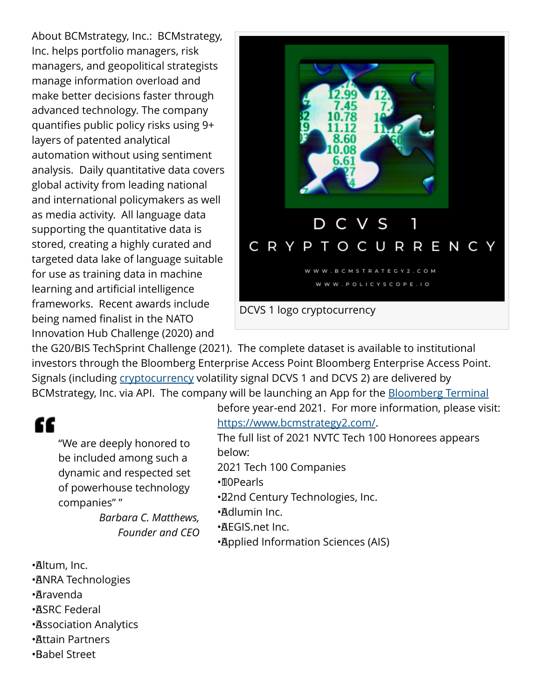About BCMstrategy, Inc.: BCMstrategy, Inc. helps portfolio managers, risk managers, and geopolitical strategists manage information overload and make better decisions faster through advanced technology. The company quantifies public policy risks using 9+ layers of patented analytical automation without using sentiment analysis. Daily quantitative data covers global activity from leading national and international policymakers as well as media activity. All language data supporting the quantitative data is stored, creating a highly curated and targeted data lake of language suitable for use as training data in machine learning and artificial intelligence frameworks. Recent awards include being named finalist in the NATO Innovation Hub Challenge (2020) and



the G20/BIS TechSprint Challenge (2021). The complete dataset is available to institutional investors through the Bloomberg Enterprise Access Point Bloomberg Enterprise Access Point. Signals (including [cryptocurrency](https://outreach.bcmstrategy2.com/dcvs) volatility signal DCVS 1 and DCVS 2) are delivered by BCMstrategy, Inc. via API. The company will be launching an App for the **[Bloomberg Terminal](https://outreach.bcmstrategy2.com/bbg-terminal-app-waiting-list)** 

## ££

"We are deeply honored to be included among such a dynamic and respected set of powerhouse technology companies" "

*Barbara C. Matthews, Founder and CEO*

- • Altum, Inc.
- **· ANRA Technologies**
- • Aravenda
- • ASRC Federal
- • Association Analytics
- • Attain Partners
- • Babel Street

before year-end 2021. For more information, please visit: <https://www.bcmstrategy2.com/>.

The full list of 2021 NVTC Tech 100 Honorees appears below:

2021 Tech 100 Companies

- • 10Pearls
- • 22nd Century Technologies, Inc.
- • Adlumin Inc.
- • AEGIS.net Inc.
- • Applied Information Sciences (AIS)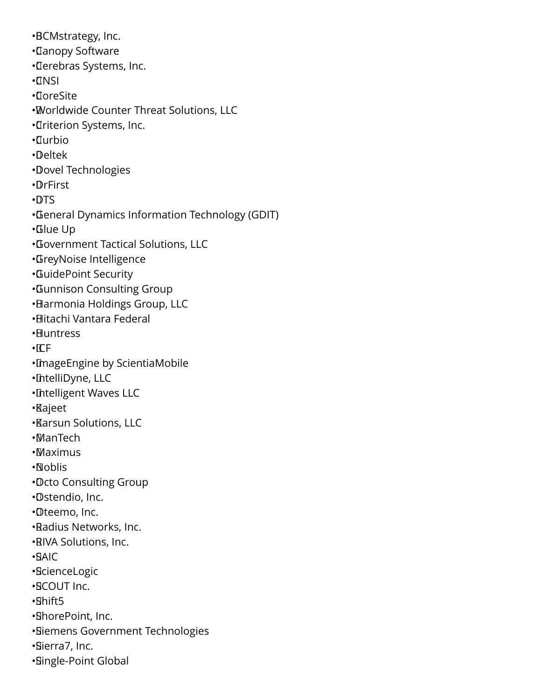• BCMstrategy, Inc. • Canopy Software • Cerebras Systems, Inc. • CNSI • CoreSite • Worldwide Counter Threat Solutions, LLC • Criterion Systems, Inc. • Curbio • Deltek • Dovel Technologies • DrFirst • DTS • General Dynamics Information Technology (GDIT) • Glue Up • Government Tactical Solutions, LLC • GreyNoise Intelligence • GuidePoint Security • Gunnison Consulting Group • Harmonia Holdings Group, LLC • Hitachi Vantara Federal • Huntress  $\cdot$   $\Gamma$ F • ImageEngine by ScientiaMobile • IntelliDyne, LLC • Intelligent Waves LLC • Kajeet • Karsun Solutions, LLC • ManTech • Maximus • Noblis • Octo Consulting Group • Ostendio, Inc. • Oteemo, Inc. • Radius Networks, Inc. • RIVA Solutions, Inc. • SAIC • ScienceLogic • SCOUT Inc. • Shift5 • ShorePoint, Inc. • Siemens Government Technologies • Sierra7, Inc. • Single-Point Global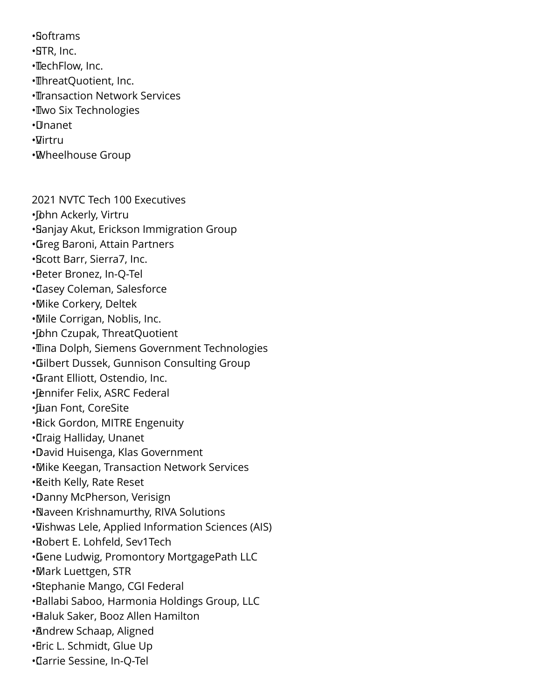• Softrams

• STR, Inc.

• Tech Flow, Inc.

• ThreatQuotient, Inc.

• Transaction Network Services

• **Two Six Technologies** 

• Unanet

•**Virtru** 

• Wheelhouse Group

2021 NVTC Tech 100 Executives

• John Ackerly, Virtru

• Sanjay Akut, Erickson Immigration Group

- • Greg Baroni, Attain Partners
- • Scott Barr, Sierra7, Inc.
- • Peter Bronez, In-Q-Tel

• Casey Coleman, Salesforce

• Mike Corkery, Deltek

• Mile Corrigan, Noblis, Inc.

• John Czupak, Threat Quotient

· Tina Dolph, Siemens Government Technologies

• Gilbert Dussek, Gunnison Consulting Group

• Grant Elliott, Ostendio, Inc.

• Jennifer Felix, ASRC Federal

• Juan Font, CoreSite

• Rick Gordon, MITRE Engenuity

• Craig Halliday, Unanet

• David Huisenga, Klas Government

• Mike Keegan, Transaction Network Services

• Keith Kelly, Rate Reset

• Danny McPherson, Verisign

• Naveen Krishnamurthy, RIVA Solutions

• Vishwas Lele, Applied Information Sciences (AIS)

• Robert E. Lohfeld, Sev1Tech

• Gene Ludwig, Promontory MortgagePath LLC

• Mark Luettgen, STR

• Stephanie Mango, CGI Federal

• Pallabi Saboo, Harmonia Holdings Group, LLC

• Haluk Saker, Booz Allen Hamilton

• Andrew Schaap, Aligned

• Eric L. Schmidt, Glue Up

• Carrie Sessine, In-Q-Tel